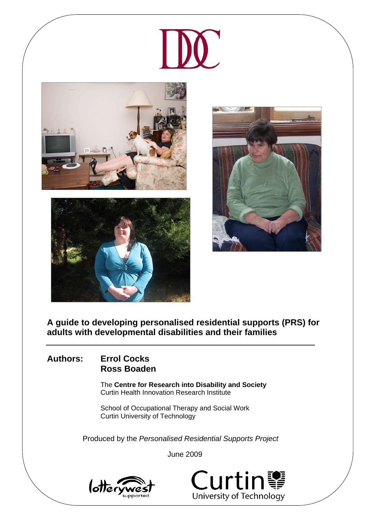







**A guide to developing personalised residential supports (PRS) for adults with developmental disabilities and their families**

### **Authors: Errol Cocks Ross Boaden**

The **Centre for Research into Disability and Society**  Curtin Health Innovation Research Institute

School of Occupational Therapy and Social Work Curtin University of Technology

Produced by the *Personalised Residential Supports Project* 

June 2009



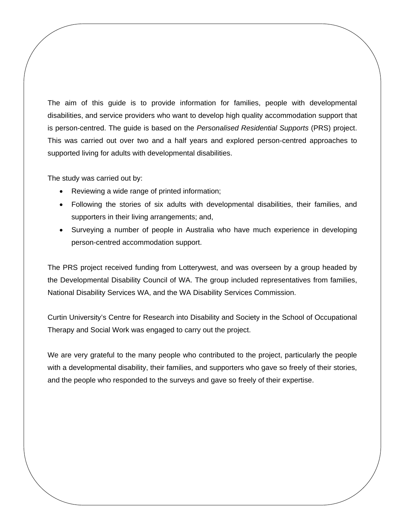The aim of this guide is to provide information for families, people with developmental disabilities, and service providers who want to develop high quality accommodation support that is person-centred. The guide is based on the *Personalised Residential Supports* (PRS) project. This was carried out over two and a half years and explored person-centred approaches to supported living for adults with developmental disabilities.

The study was carried out by:

- Reviewing a wide range of printed information;
- Following the stories of six adults with developmental disabilities, their families, and supporters in their living arrangements; and,
- Surveying a number of people in Australia who have much experience in developing person-centred accommodation support.

The PRS project received funding from Lotterywest, and was overseen by a group headed by the Developmental Disability Council of WA. The group included representatives from families, National Disability Services WA, and the WA Disability Services Commission.

Curtin University's Centre for Research into Disability and Society in the School of Occupational Therapy and Social Work was engaged to carry out the project.

We are very grateful to the many people who contributed to the project, particularly the people with a developmental disability, their families, and supporters who gave so freely of their stories, and the people who responded to the surveys and gave so freely of their expertise.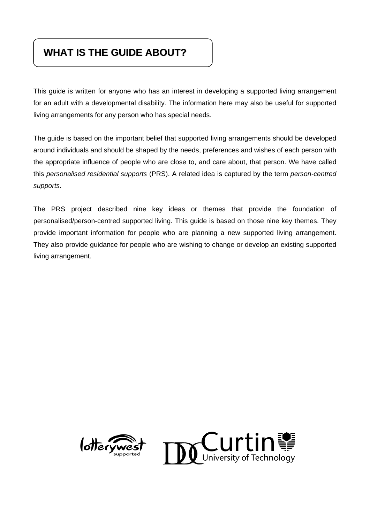# **WHAT IS THE GUIDE ABOUT?**

This guide is written for anyone who has an interest in developing a supported living arrangement for an adult with a developmental disability. The information here may also be useful for supported living arrangements for any person who has special needs.

The guide is based on the important belief that supported living arrangements should be developed around individuals and should be shaped by the needs, preferences and wishes of each person with the appropriate influence of people who are close to, and care about, that person. We have called this *personalised residential supports* (PRS). A related idea is captured by the term *person-centred supports*.

The PRS project described nine key ideas or themes that provide the foundation of personalised/person-centred supported living. This guide is based on those nine key themes. They provide important information for people who are planning a new supported living arrangement. They also provide guidance for people who are wishing to change or develop an existing supported living arrangement.



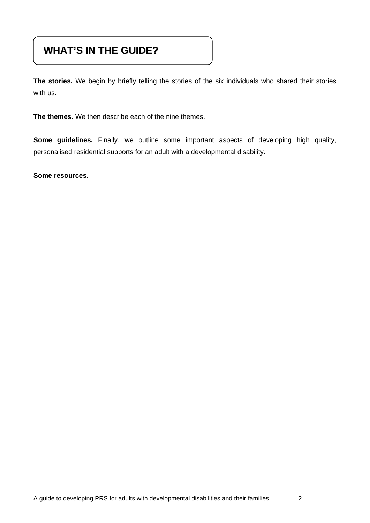# **WHAT'S IN THE GUIDE?**

**The stories.** We begin by briefly telling the stories of the six individuals who shared their stories with us.

**The themes.** We then describe each of the nine themes.

**Some guidelines.** Finally, we outline some important aspects of developing high quality, personalised residential supports for an adult with a developmental disability.

**Some resources.**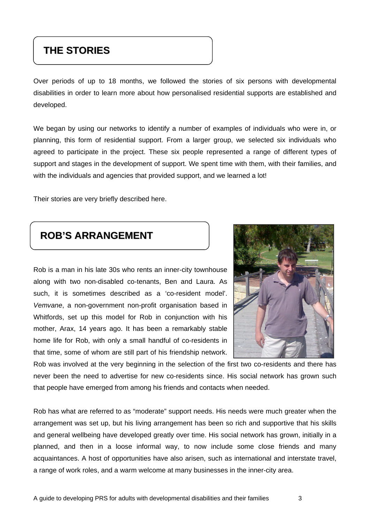# **THE STORIES**

Over periods of up to 18 months, we followed the stories of six persons with developmental disabilities in order to learn more about how personalised residential supports are established and developed.

We began by using our networks to identify a number of examples of individuals who were in, or planning, this form of residential support. From a larger group, we selected six individuals who agreed to participate in the project. These six people represented a range of different types of support and stages in the development of support. We spent time with them, with their families, and with the individuals and agencies that provided support, and we learned a lot!

Their stories are very briefly described here.

# **ROB'S ARRANGEMENT**

Rob is a man in his late 30s who rents an inner-city townhouse along with two non-disabled co-tenants, Ben and Laura. As such, it is sometimes described as a 'co-resident model'. *Vemvane*, a non-government non-profit organisation based in Whitfords, set up this model for Rob in conjunction with his mother, Arax, 14 years ago. It has been a remarkably stable home life for Rob, with only a small handful of co-residents in that time, some of whom are still part of his friendship network.



Rob was involved at the very beginning in the selection of the first two co-residents and there has never been the need to advertise for new co-residents since. His social network has grown such that people have emerged from among his friends and contacts when needed.

Rob has what are referred to as "moderate" support needs. His needs were much greater when the arrangement was set up, but his living arrangement has been so rich and supportive that his skills and general wellbeing have developed greatly over time. His social network has grown, initially in a planned, and then in a loose informal way, to now include some close friends and many acquaintances. A host of opportunities have also arisen, such as international and interstate travel, a range of work roles, and a warm welcome at many businesses in the inner-city area.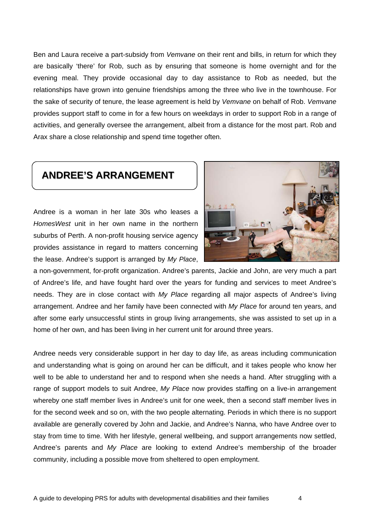Ben and Laura receive a part-subsidy from *Vemvane* on their rent and bills, in return for which they are basically 'there' for Rob, such as by ensuring that someone is home overnight and for the evening meal. They provide occasional day to day assistance to Rob as needed, but the relationships have grown into genuine friendships among the three who live in the townhouse. For the sake of security of tenure, the lease agreement is held by *Vemvane* on behalf of Rob. *Vemvane* provides support staff to come in for a few hours on weekdays in order to support Rob in a range of activities, and generally oversee the arrangement, albeit from a distance for the most part. Rob and Arax share a close relationship and spend time together often.

# **ANDREE'S ARRANGEMENT**

Andree is a woman in her late 30s who leases a *HomesWest* unit in her own name in the northern suburbs of Perth. A non-profit housing service agency provides assistance in regard to matters concerning the lease. Andree's support is arranged by *My Place*,



a non-government, for-profit organization. Andree's parents, Jackie and John, are very much a part of Andree's life, and have fought hard over the years for funding and services to meet Andree's needs. They are in close contact with *My Place* regarding all major aspects of Andree's living arrangement. Andree and her family have been connected with *My Place* for around ten years, and after some early unsuccessful stints in group living arrangements, she was assisted to set up in a home of her own, and has been living in her current unit for around three years.

Andree needs very considerable support in her day to day life, as areas including communication and understanding what is going on around her can be difficult, and it takes people who know her well to be able to understand her and to respond when she needs a hand. After struggling with a range of support models to suit Andree, *My Place* now provides staffing on a live-in arrangement whereby one staff member lives in Andree's unit for one week, then a second staff member lives in for the second week and so on, with the two people alternating. Periods in which there is no support available are generally covered by John and Jackie, and Andree's Nanna, who have Andree over to stay from time to time. With her lifestyle, general wellbeing, and support arrangements now settled, Andree's parents and *My Place* are looking to extend Andree's membership of the broader community, including a possible move from sheltered to open employment.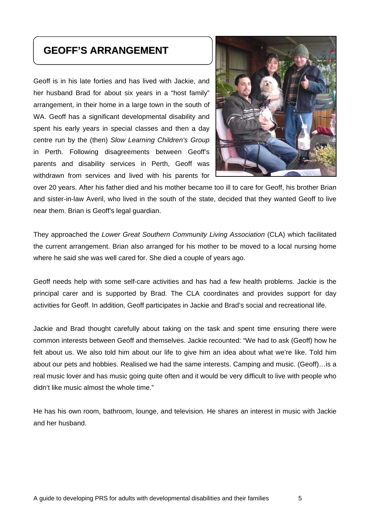# **GEOFF'S ARRANGEMENT**

Geoff is in his late forties and has lived with Jackie, and her husband Brad for about six years in a "host family" arrangement, in their home in a large town in the south of WA. Geoff has a significant developmental disability and spent his early years in special classes and then a day centre run by the (then) *Slow Learning Children's Group* in Perth. Following disagreements between Geoff's parents and disability services in Perth, Geoff was withdrawn from services and lived with his parents for



over 20 years. After his father died and his mother became too ill to care for Geoff, his brother Brian and sister-in-law Averil, who lived in the south of the state, decided that they wanted Geoff to live near them. Brian is Geoff's legal guardian.

They approached the *Lower Great Southern Community Living Association* (CLA) which facilitated the current arrangement. Brian also arranged for his mother to be moved to a local nursing home where he said she was well cared for. She died a couple of years ago.

Geoff needs help with some self-care activities and has had a few health problems. Jackie is the principal carer and is supported by Brad. The CLA coordinates and provides support for day activities for Geoff. In addition, Geoff participates in Jackie and Brad's social and recreational life.

Jackie and Brad thought carefully about taking on the task and spent time ensuring there were common interests between Geoff and themselves. Jackie recounted: "We had to ask (Geoff) how he felt about us. We also told him about our life to give him an idea about what we're like. Told him about our pets and hobbies. Realised we had the same interests. Camping and music. (Geoff)…is a real music lover and has music going quite often and it would be very difficult to live with people who didn't like music almost the whole time."

He has his own room, bathroom, lounge, and television. He shares an interest in music with Jackie and her husband.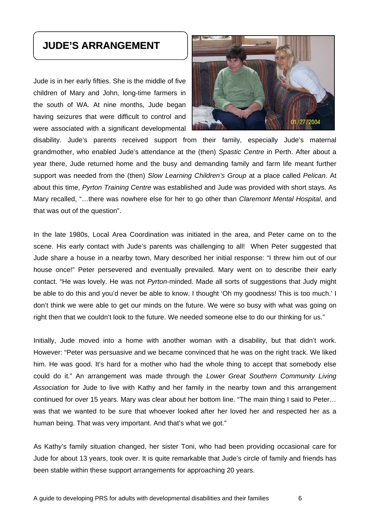## **JUDE'S ARRANGEMENT**

Jude is in her early fifties. She is the middle of five children of Mary and John, long-time farmers in the south of WA. At nine months, Jude began having seizures that were difficult to control and were associated with a significant developmental



disability. Jude's parents received support from their family, especially Jude's maternal grandmother, who enabled Jude's attendance at the (then) *Spastic Centre* in Perth. After about a year there, Jude returned home and the busy and demanding family and farm life meant further support was needed from the (then) *Slow Learning Children's Group* at a place called *Pelican*. At about this time, *Pyrton Training Centre* was established and Jude was provided with short stays. As Mary recalled, "…there was nowhere else for her to go other than *Claremont Mental Hospital*, and that was out of the question".

In the late 1980s, Local Area Coordination was initiated in the area, and Peter came on to the scene. His early contact with Jude's parents was challenging to all! When Peter suggested that Jude share a house in a nearby town, Mary described her initial response: "I threw him out of our house once!" Peter persevered and eventually prevailed. Mary went on to describe their early contact. "He was lovely. He was not *Pyrton*-minded. Made all sorts of suggestions that Judy might be able to do this and you'd never be able to know. I thought 'Oh my goodness! This is too much.' I don't think we were able to get our minds on the future. We were so busy with what was going on right then that we couldn't look to the future. We needed someone else to do our thinking for us."

Initially, Jude moved into a home with another woman with a disability, but that didn't work. However: "Peter was persuasive and we became convinced that he was on the right track. We liked him. He was good. It's hard for a mother who had the whole thing to accept that somebody else could do it." An arrangement was made through the *Lower Great Southern Community Living Association* for Jude to live with Kathy and her family in the nearby town and this arrangement continued for over 15 years. Mary was clear about her bottom line. "The main thing I said to Peter… was that we wanted to be sure that whoever looked after her loved her and respected her as a human being. That was very important. And that's what we got."

As Kathy's family situation changed, her sister Toni, who had been providing occasional care for Jude for about 13 years, took over. It is quite remarkable that Jude's circle of family and friends has been stable within these support arrangements for approaching 20 years.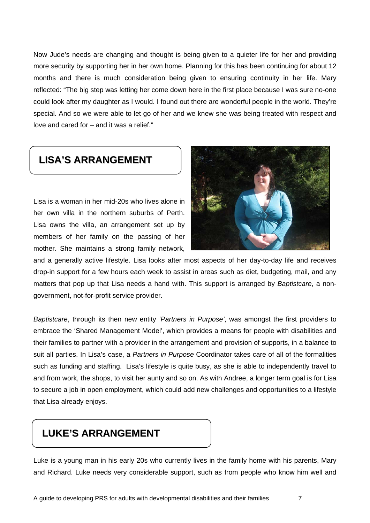Now Jude's needs are changing and thought is being given to a quieter life for her and providing more security by supporting her in her own home. Planning for this has been continuing for about 12 months and there is much consideration being given to ensuring continuity in her life. Mary reflected: "The big step was letting her come down here in the first place because I was sure no-one could look after my daughter as I would. I found out there are wonderful people in the world. They're special. And so we were able to let go of her and we knew she was being treated with respect and love and cared for – and it was a relief."

# **LISA'S ARRANGEMENT**

Lisa is a woman in her mid-20s who lives alone in her own villa in the northern suburbs of Perth. Lisa owns the villa, an arrangement set up by members of her family on the passing of her mother. She maintains a strong family network,



and a generally active lifestyle. Lisa looks after most aspects of her day-to-day life and receives drop-in support for a few hours each week to assist in areas such as diet, budgeting, mail, and any matters that pop up that Lisa needs a hand with. This support is arranged by *Baptistcare*, a nongovernment, not-for-profit service provider.

*Baptistcare*, through its then new entity *'Partners in Purpose'*, was amongst the first providers to embrace the 'Shared Management Model', which provides a means for people with disabilities and their families to partner with a provider in the arrangement and provision of supports, in a balance to suit all parties. In Lisa's case, a *Partners in Purpose* Coordinator takes care of all of the formalities such as funding and staffing. Lisa's lifestyle is quite busy, as she is able to independently travel to and from work, the shops, to visit her aunty and so on. As with Andree, a longer term goal is for Lisa to secure a job in open employment, which could add new challenges and opportunities to a lifestyle that Lisa already enjoys.

# **LUKE'S ARRANGEMENT**

Luke is a young man in his early 20s who currently lives in the family home with his parents, Mary and Richard. Luke needs very considerable support, such as from people who know him well and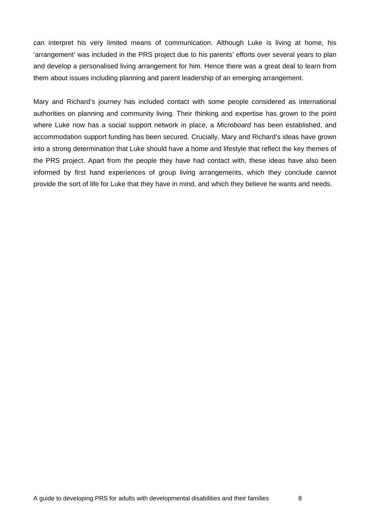can interpret his very limited means of communication. Although Luke is living at home, his 'arrangement' was included in the PRS project due to his parents' efforts over several years to plan and develop a personalised living arrangement for him. Hence there was a great deal to learn from them about issues including planning and parent leadership of an emerging arrangement.

Mary and Richard's journey has included contact with some people considered as international authorities on planning and community living. Their thinking and expertise has grown to the point where Luke now has a social support network in place, a *Microboard* has been established, and accommodation support funding has been secured. Crucially, Mary and Richard's ideas have grown into a strong determination that Luke should have a home and lifestyle that reflect the key themes of the PRS project. Apart from the people they have had contact with, these ideas have also been informed by first hand experiences of group living arrangements, which they conclude cannot provide the sort of life for Luke that they have in mind, and which they believe he wants and needs.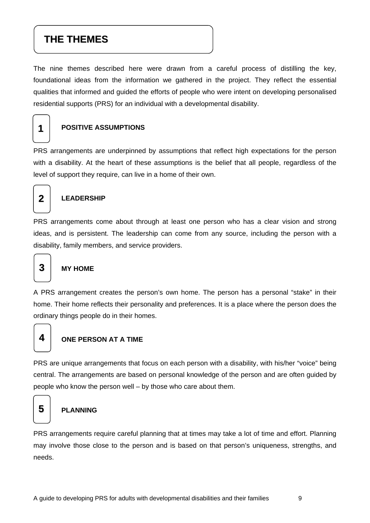# **THE THEMES**

The nine themes described here were drawn from a careful process of distilling the key, foundational ideas from the information we gathered in the project. They reflect the essential qualities that informed and guided the efforts of people who were intent on developing personalised residential supports (PRS) for an individual with a developmental disability.

# **1**

#### **POSITIVE ASSUMPTIONS**

PRS arrangements are underpinned by assumptions that reflect high expectations for the person with a disability. At the heart of these assumptions is the belief that all people, regardless of the level of support they require, can live in a home of their own.



#### **LEADERSHIP**

PRS arrangements come about through at least one person who has a clear vision and strong ideas, and is persistent. The leadership can come from any source, including the person with a disability, family members, and service providers.

# **MY HOME**

A PRS arrangement creates the person's own home. The person has a personal "stake" in their home. Their home reflects their personality and preferences. It is a place where the person does the ordinary things people do in their homes.

# **4**

**3**

#### **ONE PERSON AT A TIME**

PRS are unique arrangements that focus on each person with a disability, with his/her "voice" being central. The arrangements are based on personal knowledge of the person and are often guided by people who know the person well – by those who care about them.

# **5**

#### **PLANNING**

PRS arrangements require careful planning that at times may take a lot of time and effort. Planning may involve those close to the person and is based on that person's uniqueness, strengths, and needs.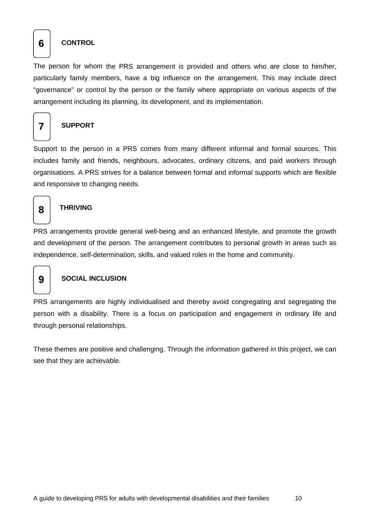#### **6 CONTROL**

The person for whom the PRS arrangement is provided and others who are close to him/her, particularly family members, have a big influence on the arrangement. This may include direct "governance" or control by the person or the family where appropriate on various aspects of the arrangement including its planning, its development, and its implementation.



#### **7 SUPPORT**

Support to the person in a PRS comes from many different informal and formal sources. This includes family and friends, neighbours, advocates, ordinary citizens, and paid workers through organisations. A PRS strives for a balance between formal and informal supports which are flexible and responsive to changing needs.

### **THRIVING 8**

PRS arrangements provide general well-being and an enhanced lifestyle, and promote the growth and development of the person. The arrangement contributes to personal growth in areas such as independence, self-determination, skills, and valued roles in the home and community.

#### **9 SOCIAL INCLUSION**

PRS arrangements are highly individualised and thereby avoid congregating and segregating the person with a disability. There is a focus on participation and engagement in ordinary life and through personal relationships.

These themes are positive and challenging. Through the information gathered in this project, we can see that they are achievable.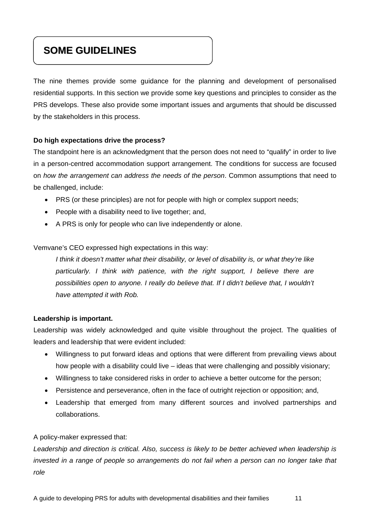# **SOME GUIDELINES**

The nine themes provide some guidance for the planning and development of personalised residential supports. In this section we provide some key questions and principles to consider as the PRS develops. These also provide some important issues and arguments that should be discussed by the stakeholders in this process.

#### **Do high expectations drive the process?**

The standpoint here is an acknowledgment that the person does not need to "qualify" in order to live in a person-centred accommodation support arrangement. The conditions for success are focused on *how the arrangement can address the needs of the person*. Common assumptions that need to be challenged, include:

- PRS (or these principles) are not for people with high or complex support needs;
- People with a disability need to live together; and,
- A PRS is only for people who can live independently or alone.

Vemvane's CEO expressed high expectations in this way:

*I think it doesn't matter what their disability, or level of disability is, or what they're like particularly. I think with patience, with the right support, I believe there are possibilities open to anyone. I really do believe that. If I didn't believe that, I wouldn't have attempted it with Rob.* 

#### **Leadership is important.**

Leadership was widely acknowledged and quite visible throughout the project. The qualities of leaders and leadership that were evident included:

- Willingness to put forward ideas and options that were different from prevailing views about how people with a disability could live – ideas that were challenging and possibly visionary;
- Willingness to take considered risks in order to achieve a better outcome for the person;
- Persistence and perseverance, often in the face of outright rejection or opposition; and,
- Leadership that emerged from many different sources and involved partnerships and collaborations.

#### A policy-maker expressed that:

*Leadership and direction is critical. Also, success is likely to be better achieved when leadership is*  invested in a range of people so arrangements do not fail when a person can no longer take that *role*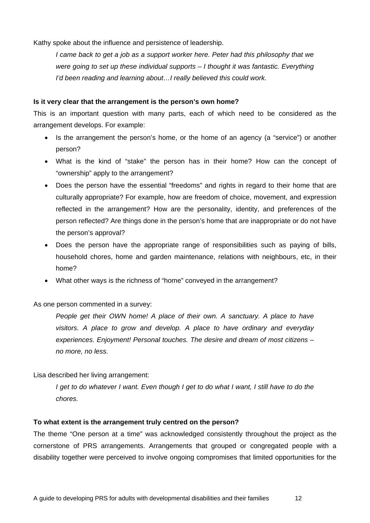Kathy spoke about the influence and persistence of leadership.

*I came back to get a job as a support worker here. Peter had this philosophy that we were going to set up these individual supports – I thought it was fantastic. Everything I'd been reading and learning about…I really believed this could work.* 

#### **Is it very clear that the arrangement is the person's own home?**

This is an important question with many parts, each of which need to be considered as the arrangement develops. For example:

- Is the arrangement the person's home, or the home of an agency (a "service") or another person?
- What is the kind of "stake" the person has in their home? How can the concept of "ownership" apply to the arrangement?
- Does the person have the essential "freedoms" and rights in regard to their home that are culturally appropriate? For example, how are freedom of choice, movement, and expression reflected in the arrangement? How are the personality, identity, and preferences of the person reflected? Are things done in the person's home that are inappropriate or do not have the person's approval?
- Does the person have the appropriate range of responsibilities such as paying of bills, household chores, home and garden maintenance, relations with neighbours, etc, in their home?
- What other ways is the richness of "home" conveyed in the arrangement?

As one person commented in a survey:

*People get their OWN home! A place of their own. A sanctuary. A place to have visitors. A place to grow and develop. A place to have ordinary and everyday experiences. Enjoyment! Personal touches. The desire and dream of most citizens – no more, no less.* 

Lisa described her living arrangement:

*I get to do whatever I want. Even though I get to do what I want, I still have to do the chores.* 

#### **To what extent is the arrangement truly centred on the person?**

The theme "One person at a time" was acknowledged consistently throughout the project as the cornerstone of PRS arrangements. Arrangements that grouped or congregated people with a disability together were perceived to involve ongoing compromises that limited opportunities for the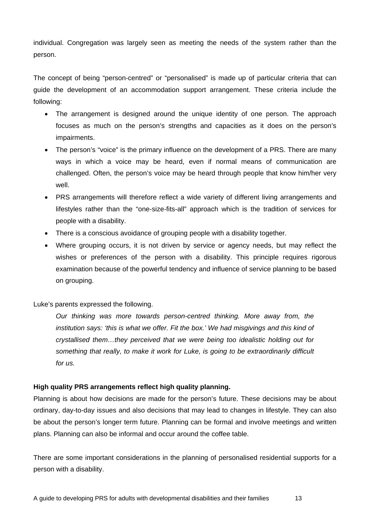individual. Congregation was largely seen as meeting the needs of the system rather than the person.

The concept of being "person-centred" or "personalised" is made up of particular criteria that can guide the development of an accommodation support arrangement. These criteria include the following:

- The arrangement is designed around the unique identity of one person. The approach focuses as much on the person's strengths and capacities as it does on the person's impairments.
- The person's "voice" is the primary influence on the development of a PRS. There are many ways in which a voice may be heard, even if normal means of communication are challenged. Often, the person's voice may be heard through people that know him/her very well.
- PRS arrangements will therefore reflect a wide variety of different living arrangements and lifestyles rather than the "one-size-fits-all" approach which is the tradition of services for people with a disability.
- There is a conscious avoidance of grouping people with a disability together.
- Where grouping occurs, it is not driven by service or agency needs, but may reflect the wishes or preferences of the person with a disability. This principle requires rigorous examination because of the powerful tendency and influence of service planning to be based on grouping.

Luke's parents expressed the following.

*Our thinking was more towards person-centred thinking. More away from, the institution says: 'this is what we offer. Fit the box.' We had misgivings and this kind of crystallised them…they perceived that we were being too idealistic holding out for something that really, to make it work for Luke, is going to be extraordinarily difficult for us.* 

#### **High quality PRS arrangements reflect high quality planning.**

Planning is about how decisions are made for the person's future. These decisions may be about ordinary, day-to-day issues and also decisions that may lead to changes in lifestyle. They can also be about the person's longer term future. Planning can be formal and involve meetings and written plans. Planning can also be informal and occur around the coffee table.

There are some important considerations in the planning of personalised residential supports for a person with a disability.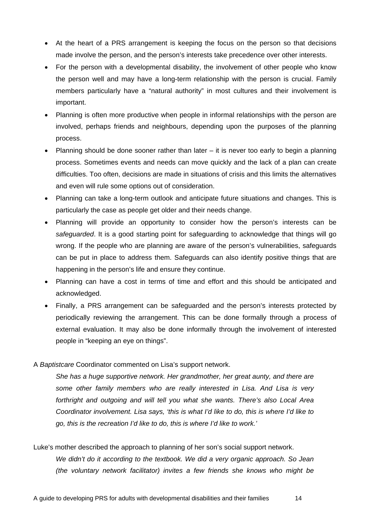- At the heart of a PRS arrangement is keeping the focus on the person so that decisions made involve the person, and the person's interests take precedence over other interests.
- For the person with a developmental disability, the involvement of other people who know the person well and may have a long-term relationship with the person is crucial. Family members particularly have a "natural authority" in most cultures and their involvement is important.
- Planning is often more productive when people in informal relationships with the person are involved, perhaps friends and neighbours, depending upon the purposes of the planning process.
- Planning should be done sooner rather than later  $-$  it is never too early to begin a planning process. Sometimes events and needs can move quickly and the lack of a plan can create difficulties. Too often, decisions are made in situations of crisis and this limits the alternatives and even will rule some options out of consideration.
- Planning can take a long-term outlook and anticipate future situations and changes. This is particularly the case as people get older and their needs change.
- Planning will provide an opportunity to consider how the person's interests can be *safeguarded*. It is a good starting point for safeguarding to acknowledge that things will go wrong. If the people who are planning are aware of the person's vulnerabilities, safeguards can be put in place to address them. Safeguards can also identify positive things that are happening in the person's life and ensure they continue.
- Planning can have a cost in terms of time and effort and this should be anticipated and acknowledged.
- Finally, a PRS arrangement can be safeguarded and the person's interests protected by periodically reviewing the arrangement. This can be done formally through a process of external evaluation. It may also be done informally through the involvement of interested people in "keeping an eye on things".

#### A *Baptistcare* Coordinator commented on Lisa's support network.

*She has a huge supportive network. Her grandmother, her great aunty, and there are some other family members who are really interested in Lisa. And Lisa is very forthright and outgoing and will tell you what she wants. There's also Local Area Coordinator involvement. Lisa says, 'this is what I'd like to do, this is where I'd like to go, this is the recreation I'd like to do, this is where I'd like to work.'* 

Luke's mother described the approach to planning of her son's social support network. *We didn't do it according to the textbook. We did a very organic approach. So Jean (the voluntary network facilitator) invites a few friends she knows who might be*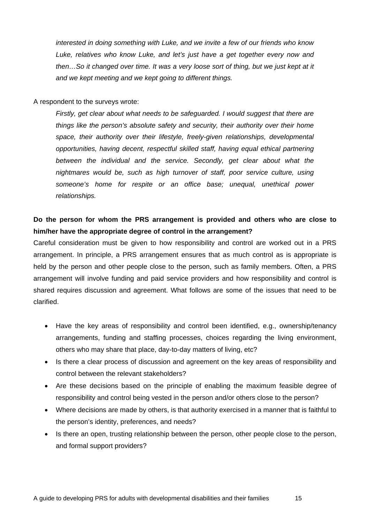*interested in doing something with Luke, and we invite a few of our friends who know Luke, relatives who know Luke, and let's just have a get together every now and then…So it changed over time. It was a very loose sort of thing, but we just kept at it and we kept meeting and we kept going to different things.* 

A respondent to the surveys wrote:

*Firstly, get clear about what needs to be safeguarded. I would suggest that there are things like the person's absolute safety and security, their authority over their home space, their authority over their lifestyle, freely-given relationships, developmental opportunities, having decent, respectful skilled staff, having equal ethical partnering between the individual and the service. Secondly, get clear about what the nightmares would be, such as high turnover of staff, poor service culture, using someone's home for respite or an office base; unequal, unethical power relationships.* 

#### **Do the person for whom the PRS arrangement is provided and others who are close to him/her have the appropriate degree of control in the arrangement?**

Careful consideration must be given to how responsibility and control are worked out in a PRS arrangement. In principle, a PRS arrangement ensures that as much control as is appropriate is held by the person and other people close to the person, such as family members. Often, a PRS arrangement will involve funding and paid service providers and how responsibility and control is shared requires discussion and agreement. What follows are some of the issues that need to be clarified.

- Have the key areas of responsibility and control been identified, e.g., ownership/tenancy arrangements, funding and staffing processes, choices regarding the living environment, others who may share that place, day-to-day matters of living, etc?
- Is there a clear process of discussion and agreement on the key areas of responsibility and control between the relevant stakeholders?
- Are these decisions based on the principle of enabling the maximum feasible degree of responsibility and control being vested in the person and/or others close to the person?
- Where decisions are made by others, is that authority exercised in a manner that is faithful to the person's identity, preferences, and needs?
- Is there an open, trusting relationship between the person, other people close to the person, and formal support providers?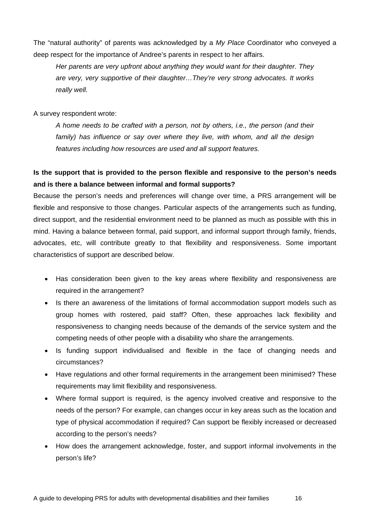The "natural authority" of parents was acknowledged by a *My Place* Coordinator who conveyed a deep respect for the importance of Andree's parents in respect to her affairs.

*Her parents are very upfront about anything they would want for their daughter. They are very, very supportive of their daughter…They're very strong advocates. It works really well.* 

A survey respondent wrote:

*A home needs to be crafted with a person, not by others, i.e., the person (and their family) has influence or say over where they live, with whom, and all the design features including how resources are used and all support features.* 

#### **Is the support that is provided to the person flexible and responsive to the person's needs and is there a balance between informal and formal supports?**

Because the person's needs and preferences will change over time, a PRS arrangement will be flexible and responsive to those changes. Particular aspects of the arrangements such as funding, direct support, and the residential environment need to be planned as much as possible with this in mind. Having a balance between formal, paid support, and informal support through family, friends, advocates, etc, will contribute greatly to that flexibility and responsiveness. Some important characteristics of support are described below.

- Has consideration been given to the key areas where flexibility and responsiveness are required in the arrangement?
- Is there an awareness of the limitations of formal accommodation support models such as group homes with rostered, paid staff? Often, these approaches lack flexibility and responsiveness to changing needs because of the demands of the service system and the competing needs of other people with a disability who share the arrangements.
- Is funding support individualised and flexible in the face of changing needs and circumstances?
- Have regulations and other formal requirements in the arrangement been minimised? These requirements may limit flexibility and responsiveness.
- Where formal support is required, is the agency involved creative and responsive to the needs of the person? For example, can changes occur in key areas such as the location and type of physical accommodation if required? Can support be flexibly increased or decreased according to the person's needs?
- How does the arrangement acknowledge, foster, and support informal involvements in the person's life?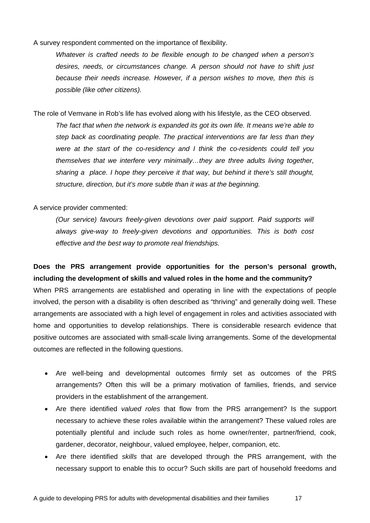A survey respondent commented on the importance of flexibility.

*Whatever is crafted needs to be flexible enough to be changed when a person's desires, needs, or circumstances change. A person should not have to shift just because their needs increase. However, if a person wishes to move, then this is possible (like other citizens).* 

The role of Vemvane in Rob's life has evolved along with his lifestyle, as the CEO observed.

*The fact that when the network is expanded its got its own life. It means we're able to step back as coordinating people. The practical interventions are far less than they were at the start of the co-residency and I think the co-residents could tell you themselves that we interfere very minimally…they are three adults living together, sharing a place. I hope they perceive it that way, but behind it there's still thought, structure, direction, but it's more subtle than it was at the beginning.* 

A service provider commented:

*(Our service) favours freely-given devotions over paid support. Paid supports will always give-way to freely-given devotions and opportunities. This is both cost effective and the best way to promote real friendships.* 

**Does the PRS arrangement provide opportunities for the person's personal growth, including the development of skills and valued roles in the home and the community?**  When PRS arrangements are established and operating in line with the expectations of people involved, the person with a disability is often described as "thriving" and generally doing well. These

arrangements are associated with a high level of engagement in roles and activities associated with home and opportunities to develop relationships. There is considerable research evidence that positive outcomes are associated with small-scale living arrangements. Some of the developmental outcomes are reflected in the following questions.

- Are well-being and developmental outcomes firmly set as outcomes of the PRS arrangements? Often this will be a primary motivation of families, friends, and service providers in the establishment of the arrangement.
- Are there identified *valued roles* that flow from the PRS arrangement? Is the support necessary to achieve these roles available within the arrangement? These valued roles are potentially plentiful and include such roles as home owner/renter, partner/friend, cook, gardener, decorator, neighbour, valued employee, helper, companion, etc.
- Are there identified *skills* that are developed through the PRS arrangement, with the necessary support to enable this to occur? Such skills are part of household freedoms and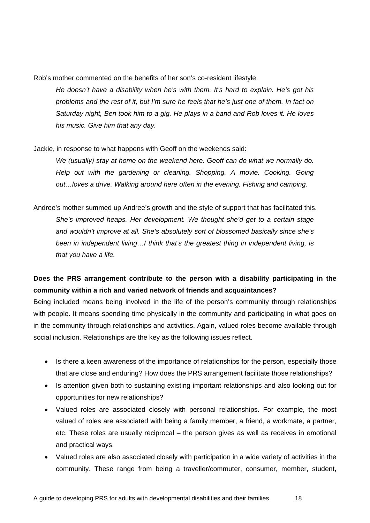Rob's mother commented on the benefits of her son's co-resident lifestyle.

*He doesn't have a disability when he's with them. It's hard to explain. He's got his problems and the rest of it, but I'm sure he feels that he's just one of them. In fact on*  Saturday night, Ben took him to a gig. He plays in a band and Rob loves it. He loves *his music. Give him that any day.* 

Jackie, in response to what happens with Geoff on the weekends said:

*We (usually) stay at home on the weekend here. Geoff can do what we normally do. Help out with the gardening or cleaning. Shopping. A movie. Cooking. Going out…loves a drive. Walking around here often in the evening. Fishing and camping.* 

Andree's mother summed up Andree's growth and the style of support that has facilitated this. *She's improved heaps. Her development. We thought she'd get to a certain stage and wouldn't improve at all. She's absolutely sort of blossomed basically since she's been in independent living…I think that's the greatest thing in independent living, is that you have a life.* 

#### **Does the PRS arrangement contribute to the person with a disability participating in the community within a rich and varied network of friends and acquaintances?**

Being included means being involved in the life of the person's community through relationships with people. It means spending time physically in the community and participating in what goes on in the community through relationships and activities. Again, valued roles become available through social inclusion. Relationships are the key as the following issues reflect.

- Is there a keen awareness of the importance of relationships for the person, especially those that are close and enduring? How does the PRS arrangement facilitate those relationships?
- Is attention given both to sustaining existing important relationships and also looking out for opportunities for new relationships?
- Valued roles are associated closely with personal relationships. For example, the most valued of roles are associated with being a family member, a friend, a workmate, a partner, etc. These roles are usually reciprocal – the person gives as well as receives in emotional and practical ways.
- Valued roles are also associated closely with participation in a wide variety of activities in the community. These range from being a traveller/commuter, consumer, member, student,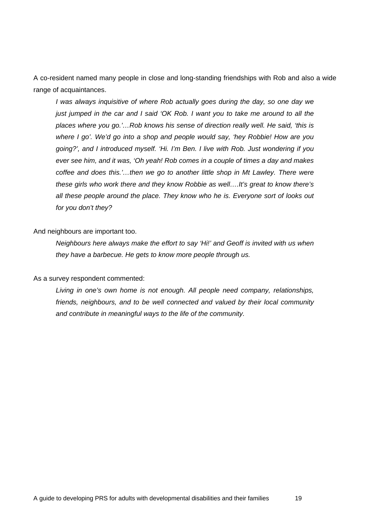A co-resident named many people in close and long-standing friendships with Rob and also a wide range of acquaintances.

*I was always inquisitive of where Rob actually goes during the day, so one day we just jumped in the car and I said 'OK Rob. I want you to take me around to all the places where you go.'…Rob knows his sense of direction really well. He said, 'this is where I go'. We'd go into a shop and people would say, 'hey Robbie! How are you going?', and I introduced myself. 'Hi. I'm Ben. I live with Rob. Just wondering if you ever see him, and it was, 'Oh yeah! Rob comes in a couple of times a day and makes coffee and does this.'…then we go to another little shop in Mt Lawley. There were these girls who work there and they know Robbie as well….It's great to know there's all these people around the place. They know who he is. Everyone sort of looks out for you don't they?* 

And neighbours are important too.

*Neighbours here always make the effort to say 'Hi!' and Geoff is invited with us when they have a barbecue. He gets to know more people through us.* 

As a survey respondent commented:

*Living in one's own home is not enough. All people need company, relationships, friends, neighbours, and to be well connected and valued by their local community and contribute in meaningful ways to the life of the community.*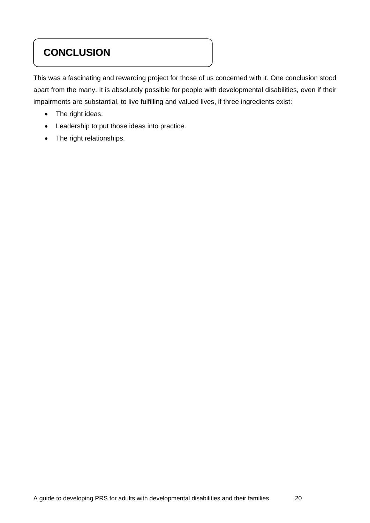# **CONCLUSION**

This was a fascinating and rewarding project for those of us concerned with it. One conclusion stood apart from the many. It is absolutely possible for people with developmental disabilities, even if their impairments are substantial, to live fulfilling and valued lives, if three ingredients exist:

- The right ideas.
- Leadership to put those ideas into practice.
- The right relationships.